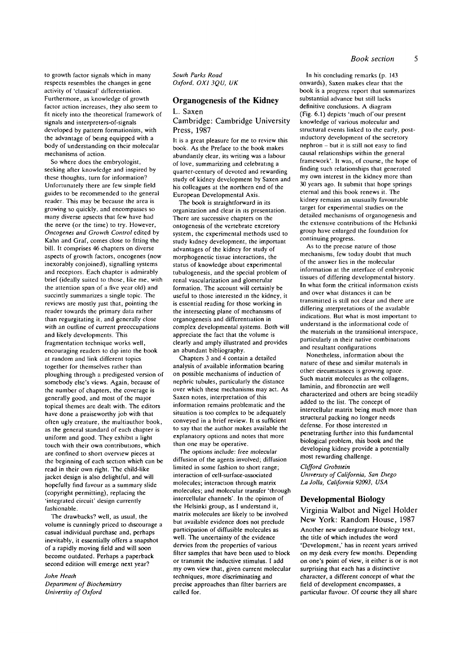to growth factor signals which in many respects resembles the changes in gene activity of 'classical' differentiation. Furthermore, as knowledge of growth factor action increases, they also seem to fit nicely into the theoretical framework of signals and interpreters-of-signals developed by pattern formationists, with the advantage of being equipped with a body of understanding on their molecular mechanisms of action.

So where does the embryologist, seeking after knowledge and inspired by these thoughts, turn for information? Unfortunately there are few simple field guides to be recommended to the general reader. This may be because the area is growing so quickly, and encompasses so many diverse apsects that few have had the nerve (or the time) to try. However, *Oncogenes and Growth Control* edited by Kahn and Graf, comes close to fitting the bill. It comprises 46 chapters on diverse aspects of growth factors, oncogenes (now inexorably conjoined), signalling systems and receptors. Each chapter is admirably brief (ideally suited to those, like me, with the attention span of a five year old) and succintly summarizes a single topic. The reviews are mostly just that, pointing the reader towards the primary data rather than regurgitating it, and generally close with an outline of current preoccupations and likely developments. This fragmentation technique works well, encouraging readers to dip into the book at random and link different topics together for themselves rather than ploughing through a predigested version of somebody else's views. Again, because of the number of chapters, the coverage is generally good, and most of the major topical themes are dealt with. The editors have done a praiseworthy job with that often ugly creature, the multiauthor book, as the general standard of each chapter is uniform and good. They exhibit a light touch with their own contributions, which are confined to short overview pieces at the beginning of each section which can be read in their own right. The child-like jacket design is also delightful, and will hopefully find favour as a summary slide (copyright permitting), replacing the 'integrated circuit' design currently fashionable.

The drawbacks? well, as usual, the volume is cunningly priced to discourage a casual individual purchase and, perhaps inevitably, it essentially offers a snapshot of a rapidly moving field and will soon become outdated. Perhaps a paperback second edition will emerge next year?

### John Heath

*Department of Biochemistry University of Oxford*

*South Parks Road Oxford, OX] 3QU, UK*

# **Organogenesis of the Kidney**

# L. Saxen

## Cambridge: Cambridge University Press, 1987

It is a great pleasure for me to review this book. As the Preface to the book makes abundantly clear, its writing was a labour of love, summarizing and celebrating a quarter-century of devoted and rewarding study of kidney development by Saxen and his colleagues at the northern end of the European Developmental Axis.

The book is straightforward in its organization and clear in its presentation. There are successive chapters on the ontogenesis of the vertebrate excretory system, the experimental methods used to study kidney development, the important advantages of the kidney for study of morphogenetic tissue interactions, the status of knowledge about experimental tubulogenesis, and the special problem of renal vascularization and glomerular formation. The account will certainly be useful to those interested in the kidney, it is essential reading for those working in the intersecting plane of mechanisms of organogenesis and differentiation in complex developmental systems. Both will appreciate the fact that the volume is clearly and amply illustrated and provides an abundant bibliography.

Chapters 3 and 4 contain a detailed analysis of available information bearing on possible mechanisms of induction of nephric tubules, particularly the distance over which these mechanisms may act. As Saxen notes, interpretation of this information remains problematic and the situation is too complex to be adequately conveyed in a brief review. It is sufficient to say that the author makes available the explanatory options and notes that more than one may be operative.

The options include: free molecular diffusion of the agents involved; diffusion limited in some fashion to short range; interaction of cell-surface-associated molecules; interaction through matrix molecules; and molecular transfer 'through intercellular channels'. In the opinion of the Helsinki group, as I understand it, matrix molecules are likely to be involved but available evidence does not preclude participation of diffusible molecules as well. The uncertainty of the evidence dervies from the properties of various filter samples that have been used to block or transmit the inductive stimulus. I add my own view that, given current molecular techniques, more discriminating and precise approaches than filter barriers are called for.

In his concluding remarks (p. 143 onwards), Saxen makes clear that the book is a progress report that summarizes substantial advance but still lacks definitive conclusions. A diagram (Fig. 6.1) depicts 'much of our present knowledge of various molecular and structural events linked to the early, postmductory development of the secretory nephron - but it is still not easy to find causal relationships within the general framework'. It was, of course, the hope of finding such relationships that generated my own interest in the kidney more than 30 years ago. It submit that hope springs eternal and this book renews it. The kidney remains an ususually favourable target for experimental studies on the detailed mechanisms of organogenesis and the extensive contributions of the Helsinki group have enlarged the foundation for continuing progress.

As to the precise nature of those mechanisms, few today doubt that much of the answer lies in the molecular information at the interface of embryonic tissues of differing developmental history. In what form the critical information exists and over what distances it can be transmitted is still not clear and there are differing interpretations of the available indications. But what is most important to understand is the informational code of the materials in the transitional interspace, particularly in their native combinations and resultant configurations

Nonetheless, information about the nature of these and similar materials in other circumstances is growing apace. Such matrix molecules as the collagens, laminin, and fibronectin are well characterized and others are being steadily added to the list. The concept of intercellular matrix being much more than structural packing no longer needs defense. For those interested in penetrating further into this fundamental biological problem, this book and the developing kidney provide a potentially most rewarding challenge.

#### *Clifford Crobstein*

*University of California, San Diego La Jolla, California 92093, USA*

### **Developmental Biology**

# Virginia Walbot and Nigel Holder New York: Random House, 1987

Another new undergraduate biology text, the title of which includes the word 'Development,' has in recent years arrived on my desk every few months. Depending on one's point of view, it either is or is not surprising that each has a distinctive character, a different concept of what the field of development encompasses, a particular flavour. Of course they all share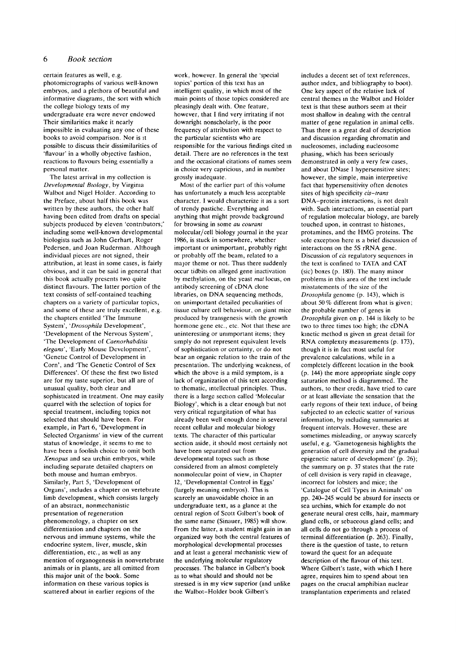#### 6 *Book section*

certain features as well, e.g. photomicrographs of various well-known embryos, and a plethora of beautiful and informative diagrams, the sort with which the college biology texts of my undergraduate era were never endowed Their similarities make it nearly impossible in evaluating any one of these books to avoid comparison. Nor is it possible to discuss their dissimilarities of 'flavour' in a wholly objective fashion, reactions to flavours being essentially a personal matter.

The latest arrival in my collection is *Developmental Biology,* by Virginia Walbot and Nigel Holder. According to the Preface, about half this book was written by these authors, the other half having been edited from drafts on special subjects produced by eleven 'contributors;' including some well-known developmental biologists such as John Gerhart, Roger Pedersen, and Joan Ruderman. Although individual pieces are not signed, their attribution, at least in some cases, is fairly obvious, and it can be said in general that this book actually presents two quite distinct flavours. The latter portion of the text consists of self-contained teaching chapters on a variety of particular topics, and some of these are truly excellent, e.g. the chapters entitled "The Immune System', *'Drosophila* Development', 'Development of the Nervous System', 'The Development of *Caenorhabditis elegans',* 'Early Mouse Development", 'Genetic Control of Development in Corn', and 'The Genetic Control of Sex Differences'. Of these the first two listed are for my taste superior, but all are of unusual quality, both clear and sophisticated in treatment. One may easily quarrel with the selection of topics for special treatment, including topics not selected that should have been. For example, in Part 6, 'Development in Selected Organisms' in view of the current status of knowledge, it seems to me to have been a foolish choice to omit both *Xenopus* and sea urchin embryos, while including separate detailed chapters on both mouse and human embryos. Similarly, Part 5, 'Development of Organs', includes a chapter on vertebrate limb development, which consists largely of an abstract, nonmechanistic presentation of regeneration phenomenology, a chapter on sex differentiation and chapters on the nervous and immune systems, while the endocrine system, liver, muscle, skin differentiation, etc., as well as any mention of organogenesis in nonvertebrate animals or in plants, are all omitted from this major unit of the book. Some information on these various topics is scattered about in earlier regions of the

work, however. In general the 'special topics' portion of this text has an intelligent quality, in which most of the main points of those topics considered are pleasingly dealt with. One feature, however, that I find very irritating if not downright nonscholarly, is the poor frequency of attribution with respect to the particular scientists who are responsible for the various findings cited in detail. There are no references in the text and the occasional citations of names seem in choice very capricious, and in number grossly inadequate.

Most of the earlier part of this volume has unfortunately a much less acceptable character. I would characterize it as a sort of trendy pastiche. Everything and anything that might provide background for browsing in some *au couranl* molecular/cell biology journal in the year 1986, is stuck in somewhere, whether important or unimportant, probably right or probably off the beam, related to a major theme or not. Thus there suddenly occur tidbits on alleged gene inactivation by methylation, on the yeast *mat* locus, on antibody screening of cDNA clone libraries, on DNA sequencing methods, on unimportant detailed peculiarities of tissue culture cell behaviour, on giant mice produced by transgenesis with the growth hormone gene etc., etc. Not that these are uninteresting or unimportant items; they simply do not represent equivalent levels of sophistication or certainty, or do not bear an organic relation to the train of the presentation. The underlying weakness, of which the above is a mild symptom, is a lack of organization of this text according to thematic, intellectual principles. Thus, there is a large section called 'Molecular Biology', which is a clear enough but not very critical regurgitation of what has already been well enough done in several recent cellular and molecular biology texts. The character of this particular section aside, it should most certainly not have been separated out from developmental topics such as those considered from an almost completely nonmolecular point of view, in Chapter 12, 'Developmental Control in Eggs' (largely meaning embryos). This is scarcely an unavoidable choice in an undergraduate text, as a glance at the central region of Scott Gilbert's book of the same name (Sinauer, 1985) will show. From the latter, a student might gain in an organized way both the central features of morphological developmental processes and at least a general mechanistic view of the underlying molecular regulatory processes. The balance in Gilbert's book as to what should and should not be stressed is in my view superior (and unlike the Walbot-Holder book Gilbert's

includes a decent set of text references, author index, and bibliography to boot). One key aspect of the relative lack of central themes in the Walbot and Holder text is that these authors seem at their most shallow in dealing with the central matter of gene regulation in animal cells. Thus there is a great deal of description and discussion regarding chromatin and nucleosomes, including nucleosome phasing, which has been seriously demonstrated in only a very few cases, and about DNase I hypersensitive sites; however, the simple, main interpretive fact that hypersensitivity often denotes sites of high specificity *cis-trans* DNA-protein interactions, is not dealt with. Such interactions, an essential part of regulation molecular biology, are barely touched upon, in contrast to histones, protamines, and the HMG proteins. The sole exception here is a brief discussion of interactions on the 5S rRNA gene. Discussion of *cis* regulatory sequences in the text is confined to TATA and CAT (sic) boxes (p. 180). The many minor problems in this area of the text include misstatements of the size of the *Drosophila* genome (p. 143), which is about 50% different from what is given; the probable number of genes in *Drosophila* given on p. 144 is likely to be two to three times too high; the cDNA kinetic method is given in great detail for RNA complexity measurements (p. 173), though it is in fact most useful for prevalence calculations, while in a completely different location in the book (p. 144) the more appropriate single copy saturation method is diagrammed. The authors, to their credit, have tried to cure or at least alleviate the sensation that the early regions of their text induce, of being subjected to an eclectic scatter of various information, by including summaries at frequent intervals. However, these are sometimes misleading, or anyway scarcely useful, e.g. 'Gametogenesis highlights the generation of cell diversity and the gradual epigenetic nature of development' (p. 26); the summary on p. 37 states that the rate of cell division is very rapid in cleavage, incorrect for lobsters and mice; the 'Catalogue of Cell Types in Animals' on pp. 240-245 would be absurd for insects or sea urchins, which for example do not generate neural crest cells, hair, mammary gland cells, or sebaceous gland cells; and all cells do not go through a process of terminal differentiation (p. 263). Finally, there is the question of taste, to return toward the quest for an adequate description of the flavour of this text. Where Gilbert's taste, with which I here agree, requires him to spend about ten pages on the crucial amphibian nuclear transplantation experiments and related